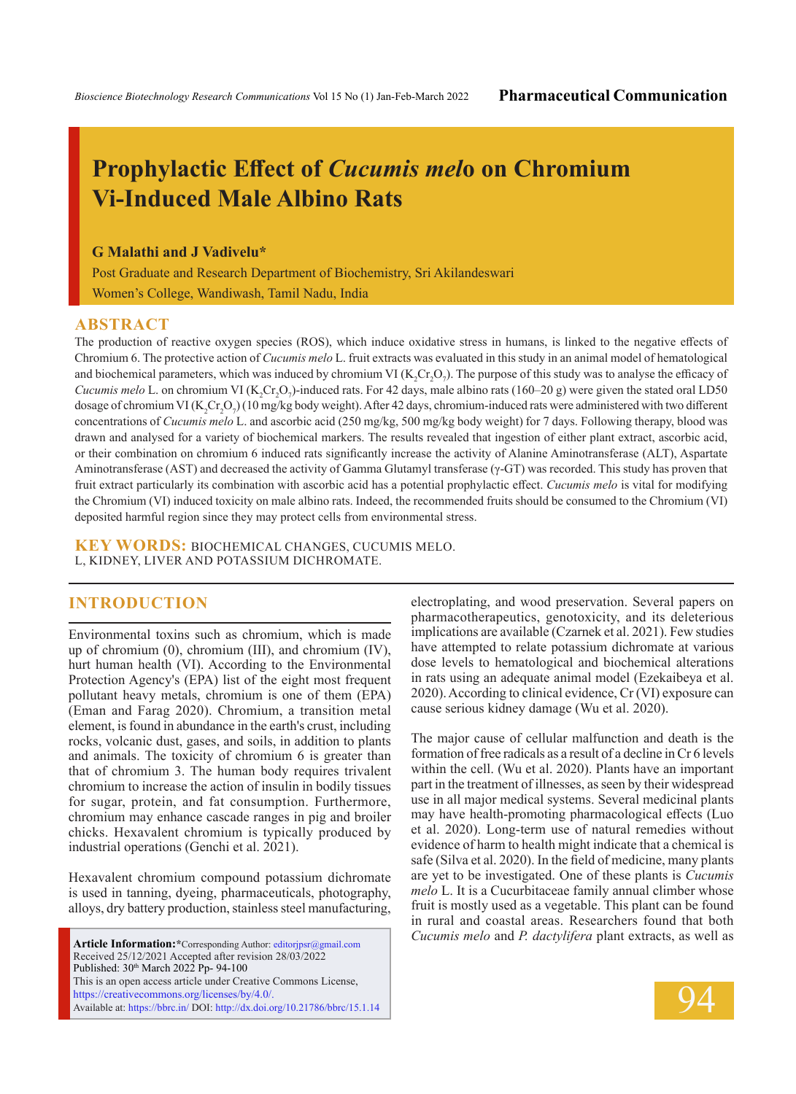# **Prophylactic Effect of** *Cucumis mel***o on Chromium Vi-Induced Male Albino Rats**

### **G Malathi and J Vadivelu\***

Post Graduate and Research Department of Biochemistry, Sri Akilandeswari Women's College, Wandiwash, Tamil Nadu, India

#### **ABSTRACT**

The production of reactive oxygen species (ROS), which induce oxidative stress in humans, is linked to the negative effects of Chromium 6. The protective action of *Cucumis melo* L. fruit extracts was evaluated in this study in an animal model of hematological and biochemical parameters, which was induced by chromium VI ( $K_2Cr_2O_7$ ). The purpose of this study was to analyse the efficacy of *Cucumis melo* L. on chromium VI ( $K_2$ Cr<sub>2</sub>O<sub>7</sub>)-induced rats. For 42 days, male albino rats (160–20 g) were given the stated oral LD50 dosage of chromium VI (K<sub>2</sub>Cr<sub>2</sub>O<sub>7</sub>) (10 mg/kg body weight). After 42 days, chromium-induced rats were administered with two different concentrations of *Cucumis melo* L. and ascorbic acid (250 mg/kg, 500 mg/kg body weight) for 7 days. Following therapy, blood was drawn and analysed for a variety of biochemical markers. The results revealed that ingestion of either plant extract, ascorbic acid, or their combination on chromium 6 induced rats significantly increase the activity of Alanine Aminotransferase (ALT), Aspartate Aminotransferase (AST) and decreased the activity of Gamma Glutamyl transferase (γ-GT) was recorded. This study has proven that fruit extract particularly its combination with ascorbic acid has a potential prophylactic effect. *Cucumis melo* is vital for modifying the Chromium (VI) induced toxicity on male albino rats. Indeed, the recommended fruits should be consumed to the Chromium (VI) deposited harmful region since they may protect cells from environmental stress.

**KEY WORDS:** Biochemical changes, Cucumis melo. L, Kidney, Liver and Potassium dichromate.

# **INTRODUCTION**

Environmental toxins such as chromium, which is made up of chromium (0), chromium (III), and chromium (IV), hurt human health (VI). According to the Environmental Protection Agency's (EPA) list of the eight most frequent pollutant heavy metals, chromium is one of them (EPA) (Eman and Farag 2020). Chromium, a transition metal element, is found in abundance in the earth's crust, including rocks, volcanic dust, gases, and soils, in addition to plants and animals. The toxicity of chromium 6 is greater than that of chromium 3. The human body requires trivalent chromium to increase the action of insulin in bodily tissues for sugar, protein, and fat consumption. Furthermore, chromium may enhance cascade ranges in pig and broiler chicks. Hexavalent chromium is typically produced by industrial operations (Genchi et al. 2021).

Hexavalent chromium compound potassium dichromate is used in tanning, dyeing, pharmaceuticals, photography, alloys, dry battery production, stainless steel manufacturing,

**Article Information:\***Corresponding Author: editorjpsr@gmail.com Received 25/12/2021 Accepted after revision 28/03/2022 Published: 30<sup>th</sup> March 2022 Pp- 94-100 This is an open access article under Creative Commons License, https://creativecommons.org/licenses/by/4.0/. Available at: https://bbrc.in/ DOI: http://dx.doi.org/10.21786/bbrc/15.1.14 electroplating, and wood preservation. Several papers on pharmacotherapeutics, genotoxicity, and its deleterious implications are available (Czarnek et al. 2021). Few studies have attempted to relate potassium dichromate at various dose levels to hematological and biochemical alterations in rats using an adequate animal model (Ezekaibeya et al. 2020). According to clinical evidence, Cr (VI) exposure can cause serious kidney damage (Wu et al. 2020).

The major cause of cellular malfunction and death is the formation of free radicals as a result of a decline in Cr 6 levels within the cell. (Wu et al. 2020). Plants have an important part in the treatment of illnesses, as seen by their widespread use in all major medical systems. Several medicinal plants may have health-promoting pharmacological effects (Luo et al. 2020). Long-term use of natural remedies without evidence of harm to health might indicate that a chemical is safe (Silva et al. 2020). In the field of medicine, many plants are yet to be investigated. One of these plants is *Cucumis melo* L. It is a Cucurbitaceae family annual climber whose fruit is mostly used as a vegetable. This plant can be found in rural and coastal areas. Researchers found that both *Cucumis melo* and *P. dactylifera* plant extracts, as well as

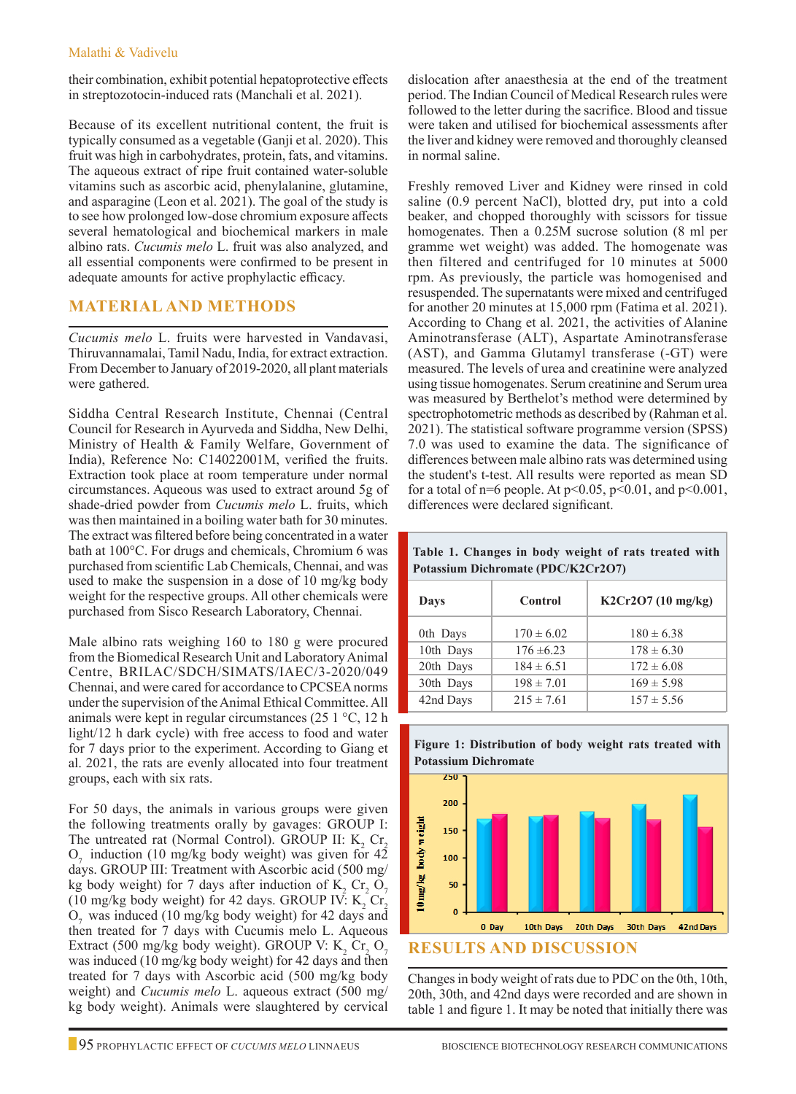#### Malathi & Vadivelu

their combination, exhibit potential hepatoprotective effects in streptozotocin-induced rats (Manchali et al. 2021).

Because of its excellent nutritional content, the fruit is typically consumed as a vegetable (Ganji et al. 2020). This fruit was high in carbohydrates, protein, fats, and vitamins. The aqueous extract of ripe fruit contained water-soluble vitamins such as ascorbic acid, phenylalanine, glutamine, and asparagine (Leon et al. 2021). The goal of the study is to see how prolonged low-dose chromium exposure affects several hematological and biochemical markers in male albino rats. *Cucumis melo* L. fruit was also analyzed, and all essential components were confirmed to be present in adequate amounts for active prophylactic efficacy.

# **Material and Methods**

*Cucumis melo* L. fruits were harvested in Vandavasi, Thiruvannamalai, Tamil Nadu, India, for extract extraction. From December to January of 2019-2020, all plant materials were gathered.

Siddha Central Research Institute, Chennai (Central Council for Research in Ayurveda and Siddha, New Delhi, Ministry of Health & Family Welfare, Government of India), Reference No: C14022001M, verified the fruits. Extraction took place at room temperature under normal circumstances. Aqueous was used to extract around 5g of shade-dried powder from *Cucumis melo* L. fruits, which was then maintained in a boiling water bath for 30 minutes. The extract was filtered before being concentrated in a water bath at 100°C. For drugs and chemicals, Chromium 6 was purchased from scientific Lab Chemicals, Chennai, and was used to make the suspension in a dose of 10 mg/kg body weight for the respective groups. All other chemicals were purchased from Sisco Research Laboratory, Chennai.

Male albino rats weighing 160 to 180 g were procured from the Biomedical Research Unit and Laboratory Animal Centre, BRILAC/SDCH/SIMATS/IAEC/3-2020/049 Chennai, and were cared for accordance to CPCSEA norms under the supervision of the Animal Ethical Committee. All animals were kept in regular circumstances (25 1 °C, 12 h light/12 h dark cycle) with free access to food and water for 7 days prior to the experiment. According to Giang et al. 2021, the rats are evenly allocated into four treatment groups, each with six rats.

For 50 days, the animals in various groups were given the following treatments orally by gavages: GROUP I: The untreated rat (Normal Control). GROUP II:  $K_2$  Cr<sub>2</sub>  $O<sub>z</sub>$  induction (10 mg/kg body weight) was given for  $4\overline{2}$ days. GROUP III: Treatment with Ascorbic acid (500 mg/ kg body weight) for 7 days after induction of  $K_2$  Cr<sub>2</sub> O<sub>7</sub> (10 mg/kg body weight) for 42 days. GROUP IV:  $K_2$  Cr<sub>2</sub>  $O<sub>7</sub>$  was induced (10 mg/kg body weight) for 42 days and then treated for 7 days with Cucumis melo L. Aqueous Extract (500 mg/kg body weight). GROUP V:  $K_2$  Cr<sub>2</sub> O<sub>7</sub> was induced (10 mg/kg body weight) for 42 days and then treated for 7 days with Ascorbic acid (500 mg/kg body weight) and *Cucumis melo* L. aqueous extract (500 mg/ kg body weight). Animals were slaughtered by cervical

dislocation after anaesthesia at the end of the treatment period. The Indian Council of Medical Research rules were followed to the letter during the sacrifice. Blood and tissue were taken and utilised for biochemical assessments after the liver and kidney were removed and thoroughly cleansed in normal saline.

Freshly removed Liver and Kidney were rinsed in cold saline (0.9 percent NaCl), blotted dry, put into a cold beaker, and chopped thoroughly with scissors for tissue homogenates. Then a 0.25M sucrose solution (8 ml per gramme wet weight) was added. The homogenate was then filtered and centrifuged for 10 minutes at 5000 rpm. As previously, the particle was homogenised and resuspended. The supernatants were mixed and centrifuged for another 20 minutes at 15,000 rpm (Fatima et al. 2021). According to Chang et al. 2021, the activities of Alanine Aminotransferase (ALT), Aspartate Aminotransferase (AST), and Gamma Glutamyl transferase (-GT) were measured. The levels of urea and creatinine were analyzed using tissue homogenates. Serum creatinine and Serum urea was measured by Berthelot's method were determined by spectrophotometric methods as described by (Rahman et al. 2021). The statistical software programme version (SPSS) 7.0 was used to examine the data. The significance of differences between male albino rats was determined using the student's t-test. All results were reported as mean SD for a total of  $n=6$  people. At  $p<0.05$ ,  $p<0.01$ , and  $p<0.001$ , differences were declared significant.

| Potassium Dichromate (PDC/K2Cr2O7) |                |                    |  |  |  |  |
|------------------------------------|----------------|--------------------|--|--|--|--|
| Days                               | Control        | K2Cr2O7 (10 mg/kg) |  |  |  |  |
| 0th Days                           | $170 \pm 6.02$ | $180 \pm 6.38$     |  |  |  |  |
| 10th Days                          | $176 \pm 6.23$ | $178 \pm 6.30$     |  |  |  |  |
| 20th Days                          | $184 \pm 6.51$ | $172 \pm 6.08$     |  |  |  |  |
| 30th Days                          | $198 \pm 7.01$ | $169 \pm 5.98$     |  |  |  |  |

42nd Days  $\begin{array}{|c|c|c|c|c|} \hline 215 \pm 7.61 & 157 \pm 5.56 \hline \end{array}$ 

**Table 1. Changes in body weight of rats treated with** 



Changes in body weight of rats due to PDC on the 0th, 10th, 20th, 30th, and 42nd days were recorded and are shown in table 1 and figure 1. It may be noted that initially there was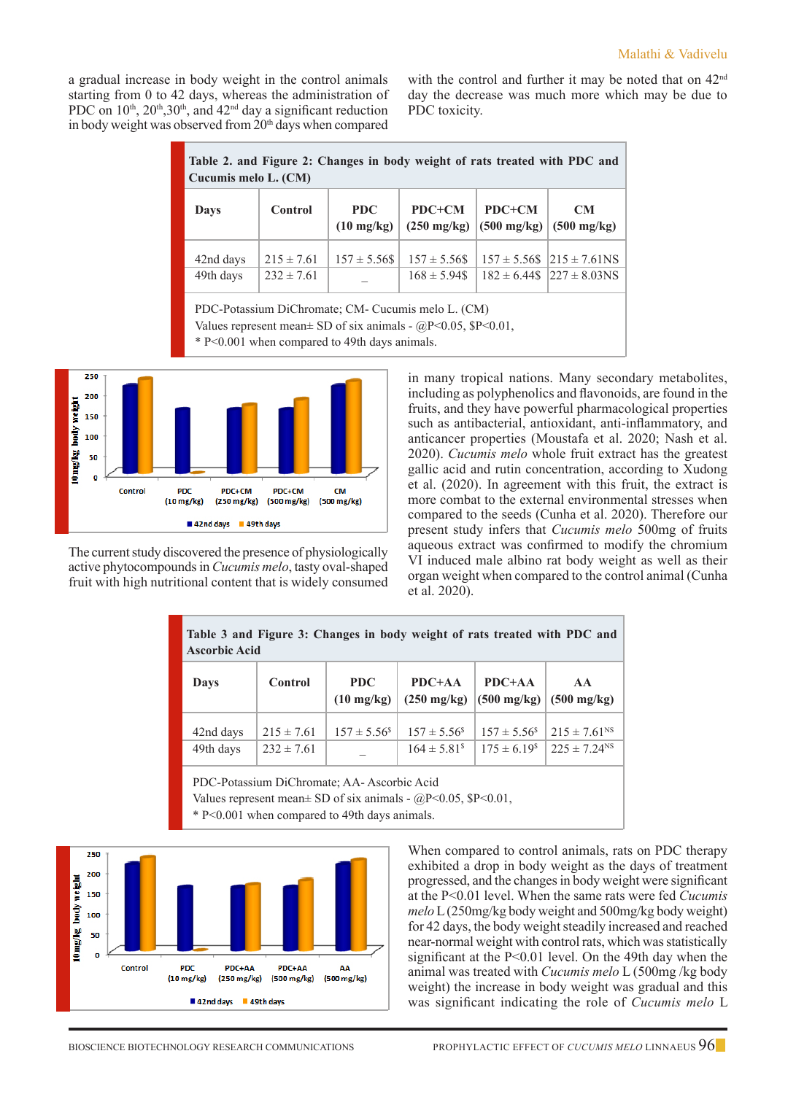a gradual increase in body weight in the control animals starting from 0 to 42 days, whereas the administration of PDC on  $10^{th}$ ,  $20^{th}$ ,  $30^{th}$ , and  $42^{nd}$  day a significant reduction in body weight was observed from 20<sup>th</sup> days when compared with the control and further it may be noted that on 42<sup>nd</sup> day the decrease was much more which may be due to PDC toxicity.

| Table 2. and Figure 2: Changes in body weight of rats treated with PDC and<br>Cucumis melo L. (CM) |                                  |                                    |                                        |        |                                                                             |  |
|----------------------------------------------------------------------------------------------------|----------------------------------|------------------------------------|----------------------------------------|--------|-----------------------------------------------------------------------------|--|
| Days                                                                                               | Control                          | <b>PDC</b><br>$(10 \text{ mg/kg})$ | $PDC+CM$<br>$(250 \text{ mg/kg})$      | PDC+CM | <b>CM</b><br>$(500 \text{ mg/kg})$ $(500 \text{ mg/kg})$                    |  |
| 42nd days<br>49th days                                                                             | $215 \pm 7.61$<br>$232 \pm 7.61$ | $157 \pm 5.56$ \$                  | $157 \pm 5.56$ \$<br>$168 \pm 5.94$ \$ |        | $157 \pm 5.56$ \$ $ 215 \pm 7.61$ NS<br>$182 \pm 6.44\$ $ 227 \pm 8.03\$ NS |  |
| PDC-Potassium DiChromate; CM- Cucumis melo L. (CM)                                                 |                                  |                                    |                                        |        |                                                                             |  |

Values represent mean $\pm$  SD of six animals - @P<0.05, \$P<0.01,

\* P<0.001 when compared to 49th days animals.



The current study discovered the presence of physiologically active phytocompounds in *Cucumis melo*, tasty oval-shaped fruit with high nutritional content that is widely consumed

in many tropical nations. Many secondary metabolites, including as polyphenolics and flavonoids, are found in the fruits, and they have powerful pharmacological properties such as antibacterial, antioxidant, anti-inflammatory, and anticancer properties (Moustafa et al. 2020; Nash et al. 2020). *Cucumis melo* whole fruit extract has the greatest gallic acid and rutin concentration, according to Xudong et al. (2020). In agreement with this fruit, the extract is more combat to the external environmental stresses when compared to the seeds (Cunha et al. 2020). Therefore our present study infers that *Cucumis melo* 500mg of fruits aqueous extract was confirmed to modify the chromium VI induced male albino rat body weight as well as their organ weight when compared to the control animal (Cunha et al. 2020).

| Table 3 and Figure 3: Changes in body weight of rats treated with PDC and<br><b>Ascorbic Acid</b> |                  |                                    |                  |                                             |  |  |
|---------------------------------------------------------------------------------------------------|------------------|------------------------------------|------------------|---------------------------------------------|--|--|
| <b>Control</b>                                                                                    |                  | $PDC+AA$                           | $PDC+AA$         | AA                                          |  |  |
| <b>Days</b>                                                                                       |                  | $(250 \text{ mg/kg})$              |                  | $(500 \text{ mg/kg})$ $(500 \text{ mg/kg})$ |  |  |
| $215 \pm 7.61$                                                                                    | $157 \pm 5.56^s$ | $157 \pm 5.56^s$                   | $157 \pm 5.56^s$ | $215 \pm 7.61$ <sup>NS</sup>                |  |  |
| $232 \pm 7.61$                                                                                    |                  | $164 \pm 5.81$ <sup>s</sup>        | $175 \pm 6.19^s$ | $225 \pm 7.24$ <sup>NS</sup>                |  |  |
|                                                                                                   |                  | <b>PDC</b><br>$(10 \text{ mg/kg})$ |                  |                                             |  |  |

PDC-Potassium DiChromate; AA- Ascorbic Acid

Values represent mean $\pm$  SD of six animals - @P<0.05, \$P<0.01,

\* P<0.001 when compared to 49th days animals.



When compared to control animals, rats on PDC therapy exhibited a drop in body weight as the days of treatment progressed, and the changes in body weight were significant at the P<0.01 level. When the same rats were fed *Cucumis melo* L (250mg/kg body weight and 500mg/kg body weight) for 42 days, the body weight steadily increased and reached near-normal weight with control rats, which was statistically significant at the P<0.01 level. On the 49th day when the animal was treated with *Cucumis melo* L (500mg /kg body weight) the increase in body weight was gradual and this was significant indicating the role of *Cucumis melo* L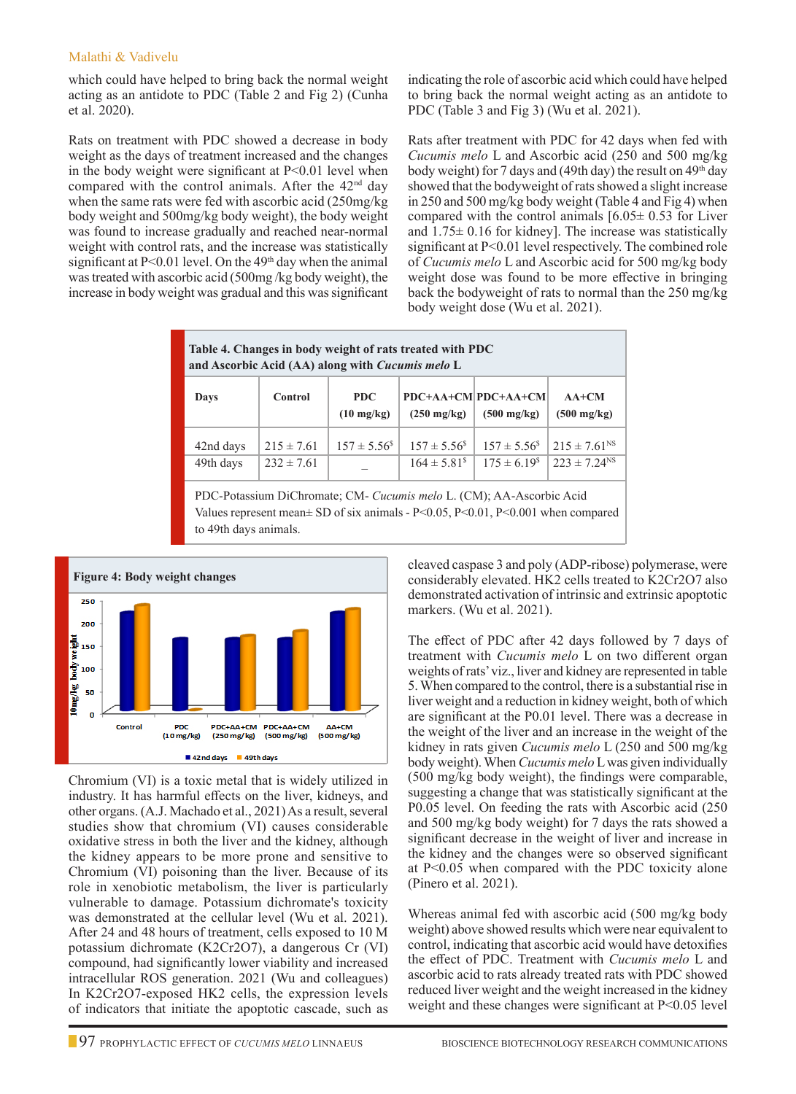#### Malathi & Vadivelu

which could have helped to bring back the normal weight acting as an antidote to PDC (Table 2 and Fig 2) (Cunha et al. 2020).

Rats on treatment with PDC showed a decrease in body weight as the days of treatment increased and the changes in the body weight were significant at  $P<0.01$  level when compared with the control animals. After the  $42<sup>nd</sup>$  day when the same rats were fed with ascorbic acid (250mg/kg body weight and 500mg/kg body weight), the body weight was found to increase gradually and reached near-normal weight with control rats, and the increase was statistically significant at  $P<0.01$  level. On the 49<sup>th</sup> day when the animal was treated with ascorbic acid (500mg /kg body weight), the increase in body weight was gradual and this was significant

indicating the role of ascorbic acid which could have helped to bring back the normal weight acting as an antidote to PDC (Table 3 and Fig 3) (Wu et al. 2021).

Rats after treatment with PDC for 42 days when fed with *Cucumis melo* L and Ascorbic acid (250 and 500 mg/kg body weight) for 7 days and (49th day) the result on  $49<sup>th</sup>$  day showed that the bodyweight of rats showed a slight increase in 250 and 500 mg/kg body weight (Table 4 and Fig 4) when compared with the control animals  $[6.05 \pm 0.53]$  for Liver and  $1.75 \pm 0.16$  for kidney]. The increase was statistically significant at P<0.01 level respectively. The combined role of *Cucumis melo* L and Ascorbic acid for 500 mg/kg body weight dose was found to be more effective in bringing back the bodyweight of rats to normal than the 250 mg/kg body weight dose (Wu et al. 2021).

| Table 4. Changes in body weight of rats treated with PDC<br>and Ascorbic Acid (AA) along with Cucumis melo L |                                               |                        |                             |                                              |                                  |  |  |
|--------------------------------------------------------------------------------------------------------------|-----------------------------------------------|------------------------|-----------------------------|----------------------------------------------|----------------------------------|--|--|
| Days                                                                                                         | <b>PDC</b><br>Control<br>$(10 \text{ mg/kg})$ |                        | $(250 \text{ mg/kg})$       | PDC+AA+CM PDC+AA+CM<br>$(500 \text{ mg/kg})$ | $AA+CM$<br>$(500 \text{ mg/kg})$ |  |  |
| 42nd days                                                                                                    | $215 \pm 7.61$                                | $157 \pm 5.56^{\circ}$ | $157 \pm 5.56^s$            | $157 \pm 5.56^s$                             | $215 \pm 7.61$ <sup>NS</sup>     |  |  |
| 49th days                                                                                                    | $232 \pm 7.61$                                |                        | $164 \pm 5.81$ <sup>s</sup> | $175 \pm 6.19^s$                             | $223 \pm 7.24$ <sup>NS</sup>     |  |  |
| $\mathsf{DDC}$ Detective DiChrometer CM Cucumis male $\mathsf{L}$ (CM): A A Associate Acid                   |                                               |                        |                             |                                              |                                  |  |  |

-Potassium DiChromate; CM- *Cucumis melo* L. (CM); AA-Ascorbic Acid Values represent mean± SD of six animals - P<0.05, P<0.01, P<0.001 when compared to 49th days animals.



Chromium (VI) is a toxic metal that is widely utilized in industry. It has harmful effects on the liver, kidneys, and other organs. (A.J. Machado et al., 2021) As a result, several studies show that chromium (VI) causes considerable oxidative stress in both the liver and the kidney, although the kidney appears to be more prone and sensitive to Chromium (VI) poisoning than the liver. Because of its role in xenobiotic metabolism, the liver is particularly vulnerable to damage. Potassium dichromate's toxicity was demonstrated at the cellular level (Wu et al. 2021). After 24 and 48 hours of treatment, cells exposed to 10 M potassium dichromate (K2Cr2O7), a dangerous Cr (VI) compound, had significantly lower viability and increased intracellular ROS generation. 2021 (Wu and colleagues) In K2Cr2O7-exposed HK2 cells, the expression levels of indicators that initiate the apoptotic cascade, such as

cleaved caspase 3 and poly (ADP-ribose) polymerase, were considerably elevated. HK2 cells treated to K2Cr2O7 also demonstrated activation of intrinsic and extrinsic apoptotic markers. (Wu et al. 2021).

The effect of PDC after 42 days followed by 7 days of treatment with *Cucumis melo* L on two different organ weights of rats' viz., liver and kidney are represented in table 5. When compared to the control, there is a substantial rise in liver weight and a reduction in kidney weight, both of which are significant at the P0.01 level. There was a decrease in the weight of the liver and an increase in the weight of the kidney in rats given *Cucumis melo* L (250 and 500 mg/kg body weight). When *Cucumis melo* L was given individually (500 mg/kg body weight), the findings were comparable, suggesting a change that was statistically significant at the P0.05 level. On feeding the rats with Ascorbic acid (250 and 500 mg/kg body weight) for 7 days the rats showed a significant decrease in the weight of liver and increase in the kidney and the changes were so observed significant at P<0.05 when compared with the PDC toxicity alone (Pinero et al. 2021).

Whereas animal fed with ascorbic acid (500 mg/kg body weight) above showed results which were near equivalent to control, indicating that ascorbic acid would have detoxifies the effect of PDC. Treatment with *Cucumis melo* L and ascorbic acid to rats already treated rats with PDC showed reduced liver weight and the weight increased in the kidney weight and these changes were significant at P<0.05 level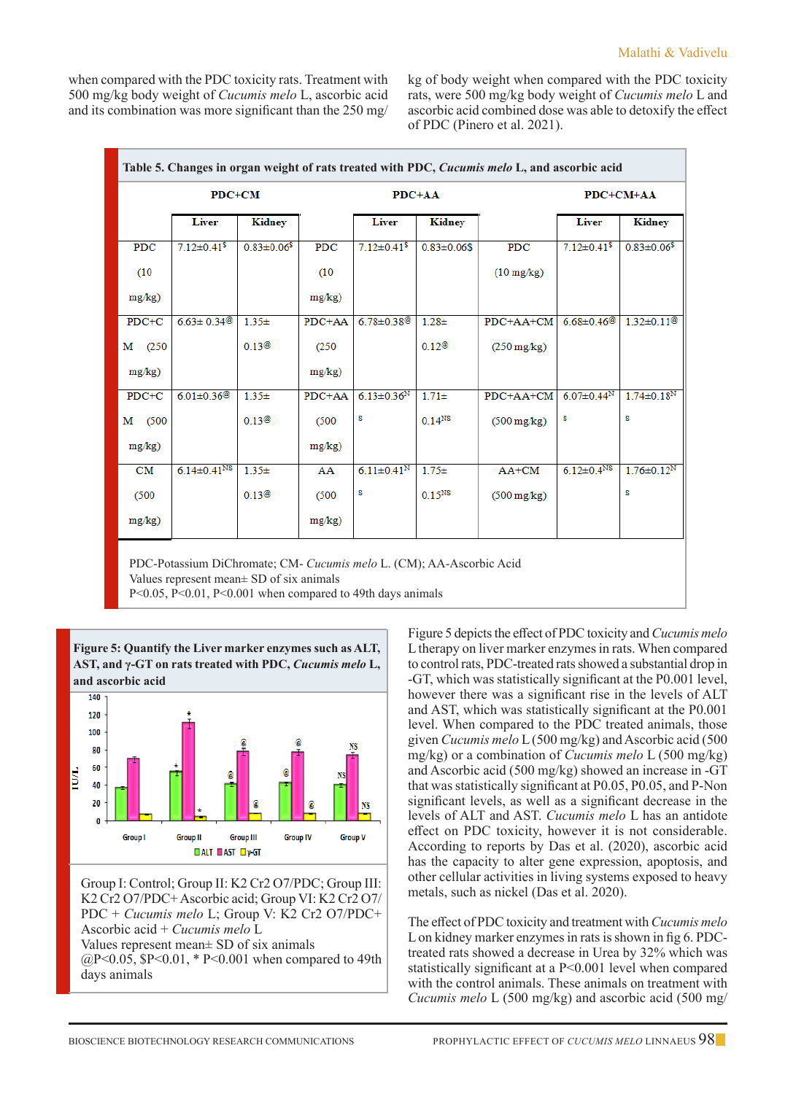when compared with the PDC toxicity rats. Treatment with 500 mg/kg body weight of *Cucumis melo* L, ascorbic acid and its combination was more significant than the 250 mg/ kg of body weight when compared with the PDC toxicity rats, were 500 mg/kg body weight of *Cucumis melo* L and ascorbic acid combined dose was able to detoxify the effect of PDC (Pinero et al. 2021).

| Table 5. Changes in organ weight of rats treated with PDC, Cucumis melo L, and ascorbic acid |                               |                    |           |                              |                    |                       |                               |                              |
|----------------------------------------------------------------------------------------------|-------------------------------|--------------------|-----------|------------------------------|--------------------|-----------------------|-------------------------------|------------------------------|
|                                                                                              | PDC+CM                        |                    | $PDC+AA$  |                              |                    | $PDC+CM+AA$           |                               |                              |
|                                                                                              | <b>Liver</b>                  | Kidney             |           | <b>Liver</b>                 | Kidney             |                       | <b>Liver</b>                  | Kidney                       |
| PDC                                                                                          | $7.12 \pm 0.41$ <sup>\$</sup> | $0.83 \pm 0.06$ \$ | PDC       | $7.12 \pm 0.41$ \$           | $0.83 \pm 0.06$ \$ | <b>PDC</b>            | $7.12 \pm 0.41$ <sup>\$</sup> | $0.83 \pm 0.06$ \$           |
| (10)                                                                                         |                               |                    | (10)      |                              |                    | $(10 \text{ mg/kg})$  |                               |                              |
| $mg/kg$ )                                                                                    |                               |                    | $mg/kg$ ) |                              |                    |                       |                               |                              |
| $PDC+C$                                                                                      | $6.63 \pm 0.34$ <sup>@</sup>  | $1.35+$            | PDC+AA    | $6.78 \pm 0.38$ <sup>@</sup> | $1.28 +$           | PDC+AA+CM             | $6.68 \pm 0.46$ <sup>@</sup>  | $1.32 \pm 0.11$ <sup>@</sup> |
| м<br>(250)                                                                                   |                               | 0.13@              | (250)     |                              | 0.12@              | $(250 \text{ mg/kg})$ |                               |                              |
| $mg/kg$ )                                                                                    |                               |                    | $mg/kg$ ) |                              |                    |                       |                               |                              |
| $PDC+C$                                                                                      | $6.01 \pm 0.36$ <sup>@</sup>  | $1.35+$            | PDC+AA    | $6.13 \pm 0.36$ <sup>N</sup> | $1.71 \pm$         | $PDC+AA+CM$           | 6.07 $\pm$ 0.44 <sup>N</sup>  | $1.74 \pm 0.18^N$            |
| (500)<br>M                                                                                   |                               | 0.13@              | (500)     | S                            | $0.14^{NS}$        | $(500 \text{ mg/kg})$ | S                             | S                            |
| $mg/kg$ )                                                                                    |                               |                    | $mg/kg$ ) |                              |                    |                       |                               |                              |
| CM                                                                                           | $6.14 \pm 0.41$ <sup>NS</sup> | $1.35+$            | AA        | $6.11 \pm 0.41$ <sup>N</sup> | $1.75+$            | $AA+CM$               | $6.12 \pm 0.4$ <sup>NS</sup>  | $1.76 \pm 0.12^N$            |
| (500)                                                                                        |                               | 0.13@              | (500)     | S                            | $0.15^{NS}$        | $(500 \text{ mg/kg})$ |                               | S                            |
| $mg/kg$ )                                                                                    |                               |                    | $mg/kg$ ) |                              |                    |                       |                               |                              |

PDC-Potassium DiChromate; CM- *Cucumis melo* L. (CM); AA-Ascorbic Acid Values represent mean± SD of six animals

P<0.05, P<0.01, P<0.001 when compared to 49th days animals



Group I: Control; Group II: K2 Cr2 O7/PDC; Group III: K2 Cr2 O7/PDC+ Ascorbic acid; Group VI: K2 Cr2 O7/ PDC + *Cucumis melo* L; Group V: K2 Cr2 O7/PDC+ Ascorbic acid + *Cucumis melo* L Values represent mean± SD of six animals @P<0.05, \$P<0.01, \* P<0.001 when compared to 49th days animals

Figure 5 depicts the effect of PDC toxicity and *Cucumis melo* L therapy on liver marker enzymes in rats. When compared to control rats, PDC-treated rats showed a substantial drop in -GT, which was statistically significant at the P0.001 level, however there was a significant rise in the levels of ALT and AST, which was statistically significant at the P0.001 level. When compared to the PDC treated animals, those given *Cucumis melo* L (500 mg/kg) and Ascorbic acid (500 mg/kg) or a combination of *Cucumis melo* L (500 mg/kg) and Ascorbic acid (500 mg/kg) showed an increase in -GT that was statistically significant at P0.05, P0.05, and P-Non significant levels, as well as a significant decrease in the levels of ALT and AST. *Cucumis melo* L has an antidote effect on PDC toxicity, however it is not considerable. According to reports by Das et al. (2020), ascorbic acid has the capacity to alter gene expression, apoptosis, and other cellular activities in living systems exposed to heavy metals, such as nickel (Das et al. 2020).

The effect of PDC toxicity and treatment with *Cucumis melo*  L on kidney marker enzymes in rats is shown in fig 6. PDCtreated rats showed a decrease in Urea by 32% which was statistically significant at a P<0.001 level when compared with the control animals. These animals on treatment with *Cucumis melo* L (500 mg/kg) and ascorbic acid (500 mg/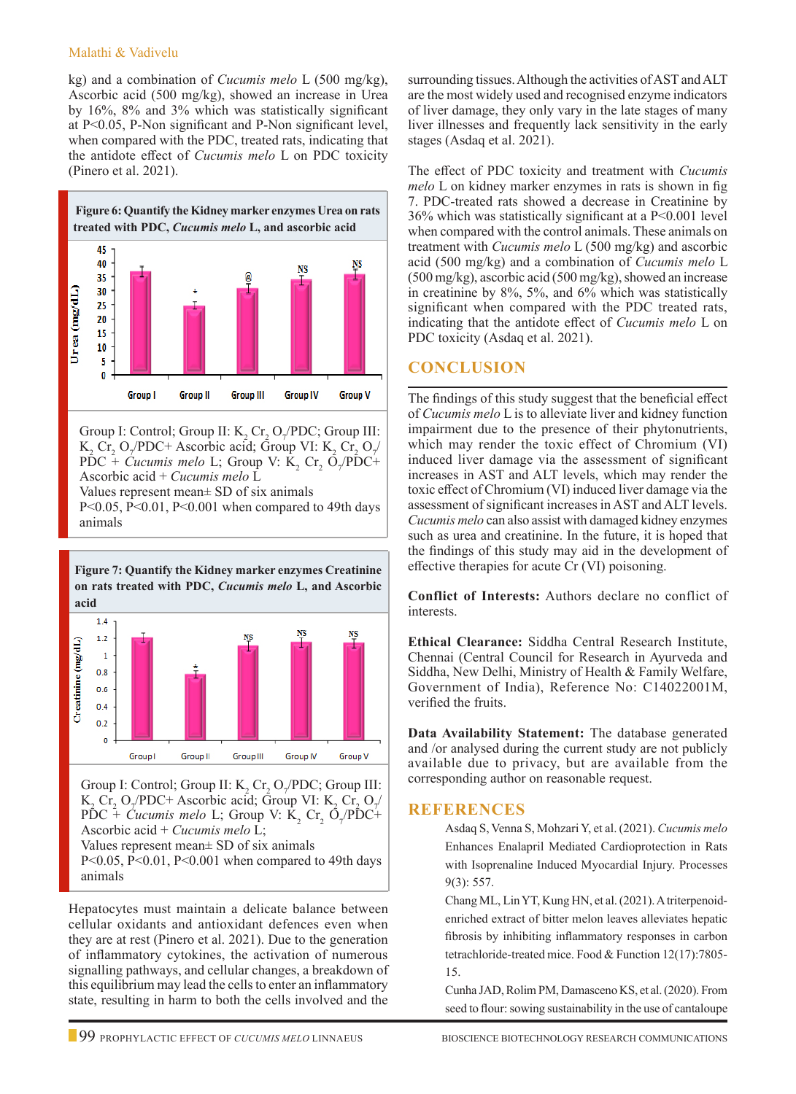#### Malathi & Vadivelu

animals

kg) and a combination of *Cucumis melo* L (500 mg/kg), Ascorbic acid (500 mg/kg), showed an increase in Urea by 16%, 8% and 3% which was statistically significant at P<0.05, P-Non significant and P-Non significant level, when compared with the PDC, treated rats, indicating that the antidote effect of *Cucumis melo* L on PDC toxicity (Pinero et al. 2021).



Group I: Control; Group II:  $K_2$  Cr<sub>2</sub> O<sub>7</sub>/PDC; Group III:  $K_2$  Cr<sub>2</sub> O<sub>7</sub>/PDC+ Ascorbic acid; Group VI:  $K_2$  Cr<sub>2</sub> O<sub>7</sub>/ PDC + *Cucumis melo* L; Group V:  $K_2$  Cr<sub>2</sub> O<sub>7</sub>/PDC+ Ascorbic acid + *Cucumis melo* L Values represent mean± SD of six animals P<0.05, P<0.01, P<0.001 when compared to 49th days

**Figure 7: Quantify the Kidney marker enzymes Creatinine on rats treated with PDC,** *Cucumis melo* **L, and Ascorbic acid**  $1.4$ 



Group I: Control; Group II:  $K_2$  Cr<sub>2</sub> O<sub>7</sub>/PDC; Group III:  $K_2$  Cr<sub>2</sub> O<sub>7</sub>/PDC+ Ascorbic acid; Group VI:  $K_2$  Cr<sub>2</sub> O<sub>7</sub>/  $PDC + \textit{Cucumis melo L}$ ; Group V: K<sub>2</sub> Cr<sub>2</sub> O<sub>7</sub>/PDC+ Ascorbic acid + *Cucumis melo* L; Values represent mean± SD of six animals P<0.05, P<0.01, P<0.001 when compared to 49th days animals

Hepatocytes must maintain a delicate balance between cellular oxidants and antioxidant defences even when they are at rest (Pinero et al. 2021). Due to the generation of inflammatory cytokines, the activation of numerous signalling pathways, and cellular changes, a breakdown of this equilibrium may lead the cells to enter an inflammatory state, resulting in harm to both the cells involved and the surrounding tissues. Although the activities of AST and ALT are the most widely used and recognised enzyme indicators of liver damage, they only vary in the late stages of many liver illnesses and frequently lack sensitivity in the early stages (Asdaq et al. 2021).

The effect of PDC toxicity and treatment with *Cucumis melo* L on kidney marker enzymes in rats is shown in fig 7. PDC-treated rats showed a decrease in Creatinine by 36% which was statistically significant at a P<0.001 level when compared with the control animals. These animals on treatment with *Cucumis melo* L (500 mg/kg) and ascorbic acid (500 mg/kg) and a combination of *Cucumis melo* L (500 mg/kg), ascorbic acid (500 mg/kg), showed an increase in creatinine by 8%, 5%, and 6% which was statistically significant when compared with the PDC treated rats, indicating that the antidote effect of *Cucumis melo* L on PDC toxicity (Asdaq et al. 2021).

# **Conclusion**

The findings of this study suggest that the beneficial effect of *Cucumis melo* L is to alleviate liver and kidney function impairment due to the presence of their phytonutrients, which may render the toxic effect of Chromium (VI) induced liver damage via the assessment of significant increases in AST and ALT levels, which may render the toxic effect of Chromium (VI) induced liver damage via the assessment of significant increases in AST and ALT levels. *Cucumis melo* can also assist with damaged kidney enzymes such as urea and creatinine. In the future, it is hoped that the findings of this study may aid in the development of effective therapies for acute Cr (VI) poisoning.

**Conflict of Interests:** Authors declare no conflict of interests.

**Ethical Clearance:** Siddha Central Research Institute, Chennai (Central Council for Research in Ayurveda and Siddha, New Delhi, Ministry of Health & Family Welfare, Government of India), Reference No: C14022001M, verified the fruits.

**Data Availability Statement:** The database generated and /or analysed during the current study are not publicly available due to privacy, but are available from the corresponding author on reasonable request.

# **References**

Asdaq S, Venna S, Mohzari Y, et al. (2021). *Cucumis melo* Enhances Enalapril Mediated Cardioprotection in Rats with Isoprenaline Induced Myocardial Injury. Processes 9(3): 557.

Chang ML, Lin YT, Kung HN, et al. (2021). A triterpenoidenriched extract of bitter melon leaves alleviates hepatic fibrosis by inhibiting inflammatory responses in carbon tetrachloride-treated mice. Food & Function 12(17):7805- 15.

Cunha JAD, Rolim PM, Damasceno KS, et al. (2020). From seed to flour: sowing sustainability in the use of cantaloupe